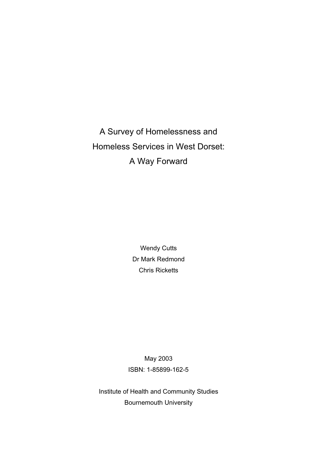A Survey of Homelessness and Homeless Services in West Dorset: A Way Forward

> Wendy Cutts Dr Mark Redmond Chris Ricketts

May 2003 ISBN: 1-85899-162-5

Institute of Health and Community Studies Bournemouth University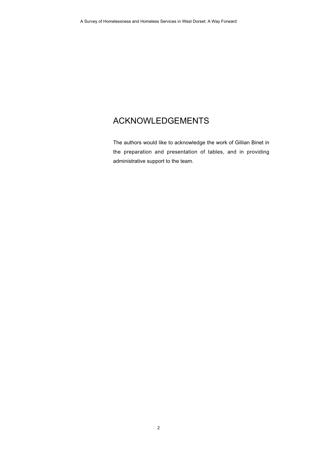# ACKNOWLEDGEMENTS

The authors would like to acknowledge the work of Gillian Binet in the preparation and presentation of tables, and in providing administrative support to the team.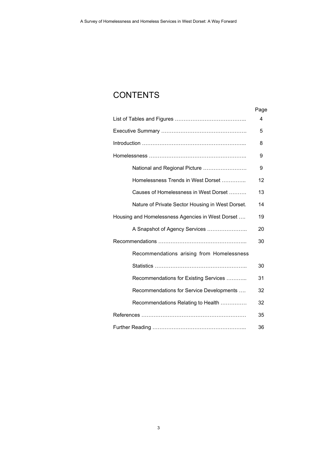# **CONTENTS**

|                                                  | Page |
|--------------------------------------------------|------|
|                                                  | 4    |
|                                                  | 5    |
|                                                  | 8    |
|                                                  | 9    |
| National and Regional Picture                    | 9    |
| Homelessness Trends in West Dorset               | 12   |
| Causes of Homelessness in West Dorset            | 13   |
| Nature of Private Sector Housing in West Dorset. | 14   |
| Housing and Homelessness Agencies in West Dorset | 19   |
| A Snapshot of Agency Services                    | 20   |
|                                                  | 30   |
| Recommendations arising from Homelessness        |      |
|                                                  | 30   |
| Recommendations for Existing Services            | 31   |
| Recommendations for Service Developments         | 32   |
| Recommendations Relating to Health               | 32   |
|                                                  | 35   |
|                                                  | 36   |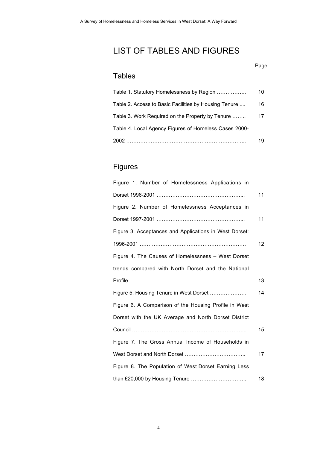# LIST OF TABLES AND FIGURES

### Page

## Tables

| Table 1. Statutory Homelessness by Region             | 10 |
|-------------------------------------------------------|----|
| Table 2. Access to Basic Facilities by Housing Tenure | 16 |
| Table 3. Work Required on the Property by Tenure      | 17 |
| Table 4. Local Agency Figures of Homeless Cases 2000- |    |
| 2002                                                  | 19 |

# Figures

| Figure 1. Number of Homelessness Applications in       |    |
|--------------------------------------------------------|----|
|                                                        | 11 |
| Figure 2. Number of Homelessness Acceptances in        |    |
|                                                        | 11 |
| Figure 3. Acceptances and Applications in West Dorset: |    |
|                                                        | 12 |
| Figure 4. The Causes of Homelessness - West Dorset     |    |
| trends compared with North Dorset and the National     |    |
|                                                        | 13 |
| Figure 5. Housing Tenure in West Dorset                | 14 |
| Figure 6. A Comparison of the Housing Profile in West  |    |
| Dorset with the UK Average and North Dorset District   |    |
|                                                        | 15 |
| Figure 7. The Gross Annual Income of Households in     |    |
|                                                        | 17 |
| Figure 8. The Population of West Dorset Earning Less   |    |
| than £20,000 by Housing Tenure                         | 18 |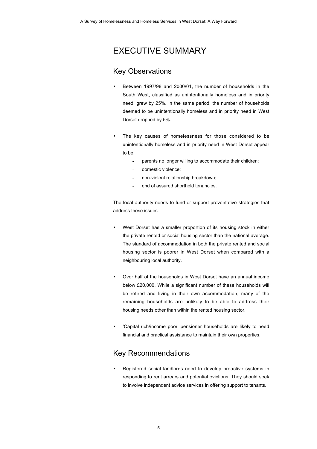# EXECUTIVE SUMMARY

### Key Observations

- Between 1997/98 and 2000/01, the number of households in the South West, classified as unintentionally homeless and in priority need, grew by 25%. In the same period, the number of households deemed to be unintentionally homeless and in priority need in West Dorset dropped by 5%.
- The key causes of homelessness for those considered to be unintentionally homeless and in priority need in West Dorset appear to be:
	- parents no longer willing to accommodate their children;
	- domestic violence;
	- non-violent relationship breakdown;
	- end of assured shorthold tenancies.

The local authority needs to fund or support preventative strategies that address these issues.

- West Dorset has a smaller proportion of its housing stock in either the private rented or social housing sector than the national average. The standard of accommodation in both the private rented and social housing sector is poorer in West Dorset when compared with a neighbouring local authority.
- Over half of the households in West Dorset have an annual income below £20,000. While a significant number of these households will be retired and living in their own accommodation, many of the remaining households are unlikely to be able to address their housing needs other than within the rented housing sector.
- 'Capital rich/income poor' pensioner households are likely to need financial and practical assistance to maintain their own properties.

## Key Recommendations

• Registered social landlords need to develop proactive systems in responding to rent arrears and potential evictions. They should seek to involve independent advice services in offering support to tenants.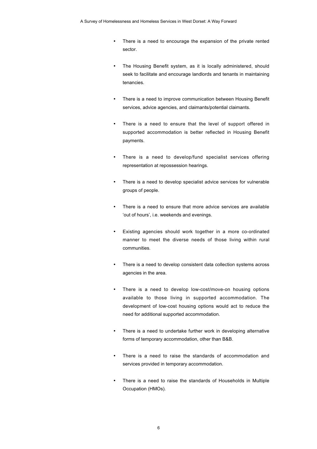- There is a need to encourage the expansion of the private rented sector.
- The Housing Benefit system, as it is locally administered, should seek to facilitate and encourage landlords and tenants in maintaining tenancies.
- There is a need to improve communication between Housing Benefit services, advice agencies, and claimants/potential claimants.
- There is a need to ensure that the level of support offered in supported accommodation is better reflected in Housing Benefit payments.
- There is a need to develop/fund specialist services offering representation at repossession hearings.
- There is a need to develop specialist advice services for vulnerable groups of people.
- There is a need to ensure that more advice services are available 'out of hours', i.e. weekends and evenings.
- Existing agencies should work together in a more co-ordinated manner to meet the diverse needs of those living within rural communities.
- There is a need to develop consistent data collection systems across agencies in the area.
- There is a need to develop low-cost/move-on housing options available to those living in supported accommodation. The development of low-cost housing options would act to reduce the need for additional supported accommodation.
- There is a need to undertake further work in developing alternative forms of temporary accommodation, other than B&B.
- There is a need to raise the standards of accommodation and services provided in temporary accommodation.
- There is a need to raise the standards of Households in Multiple Occupation (HMOs).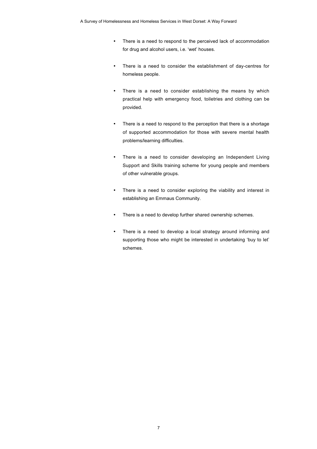- There is a need to respond to the perceived lack of accommodation for drug and alcohol users, i.e. 'wet' houses.
- There is a need to consider the establishment of day-centres for homeless people.
- There is a need to consider establishing the means by which practical help with emergency food, toiletries and clothing can be provided.
- There is a need to respond to the perception that there is a shortage of supported accommodation for those with severe mental health problems/learning difficulties.
- There is a need to consider developing an Independent Living Support and Skills training scheme for young people and members of other vulnerable groups.
- There is a need to consider exploring the viability and interest in establishing an Emmaus Community.
- There is a need to develop further shared ownership schemes.
- There is a need to develop a local strategy around informing and supporting those who might be interested in undertaking 'buy to let' schemes.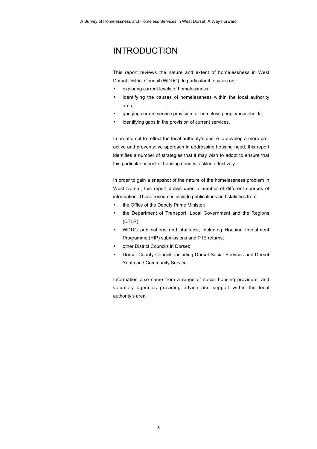# INTRODUCTION

This report reviews the nature and extent of homelessness in West Dorset District Council (WDDC). In particular it focuses on:

- exploring current levels of homelessness;
- identifying the causes of homelessness within the local authority area;
- gauging current service provision for homeless people/households;
- identifying gaps in the provision of current services.

In an attempt to reflect the local authority's desire to develop a more proactive and preventative approach in addressing housing need, this report identifies a number of strategies that it may wish to adopt to ensure that this particular aspect of housing need is tackled effectively.

In order to gain a snapshot of the nature of the homelessness problem in West Dorset, this report draws upon a number of different sources of information. These resources include publications and statistics from:

- the Office of the Deputy Prime Minister;
- the Department of Transport, Local Government and the Regions (DTLR);
- WDDC publications and statistics, including Housing Investment Programme (HIP) submissions and P1E returns;
- other District Councils in Dorset;
- Dorset County Council, including Dorset Social Services and Dorset Youth and Community Service.

Information also came from a range of social housing providers, and voluntary agencies providing advice and support within the local authority's area.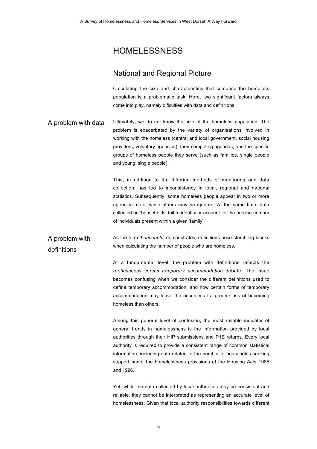## HOMELESSNESS

### National and Regional Picture

Calculating the size and characteristics that comprise the homeless population is a problematic task. Here, two significant factors always come into play, namely dificulties with data and definitions.

A problem with data Ultimately, we do not know the size of the homeless population. The problem is exacerbated by the variety of organisations involved in working with the homeless (central and local government, social housing providers, voluntary agencies), their competing agendas, and the specific groups of homeless people they serve (such as families, single people and young, single people).

> This, in addition to the differing methods of monitoring and data collection, has led to inconsistency in local, regional and national statistics. Subsequently, some homeless people appear in two or more agencies' data, while others may be ignored. At the same time, data collected on 'households' fail to identify or account for the precise number of individuals present within a given 'family'.

A problem with definitions As the term '*household*' demonstrates, definitions pose stumbling blocks when calculating the number of people who are homeless.

> At a fundamental level, the problem with definitions reflects the *rooflessness versus temporary accommodation* debate. The issue becomes confusing when we consider the different definitions used to define temporary accommodation, and how certain forms of temporary accommodation may leave the occupier at a greater risk of becoming homeless than others.

> Among this general level of confusion, the most reliable indicator of general trends in homelessness is the information provided by local authorities through their HIP submissions and P1E returns. Every local authority is required to provide a consistent range of common statistical information, including data related to the number of households seeking support under the homelessness provisions of the Housing Acts 1985 and 1996.

> Yet, while the data collected by local authorities may be consistent and reliable, they cannot be interpreted as representing an accurate level of homelessness. Given that local authority responsibilities towards different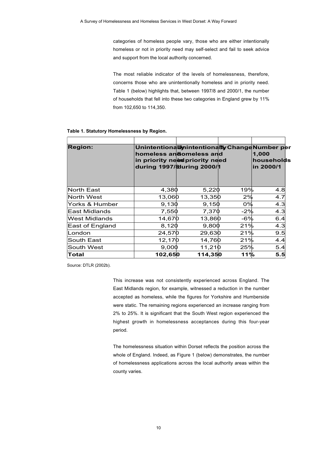categories of homeless people vary, those who are either intentionally homeless or not in priority need may self-select and fail to seek advice and support from the local authority concerned.

The most reliable indicator of the levels of homelessness, therefore, concerns those who are unintentionally homeless and in priority need. Table 1 (below) highlights that, between 1997/8 and 2000/1, the number of households that fell into these two categories in England grew by 11% from 102,650 to 114,350.

| <b>Region:</b>       |         | Unintentionallynintentionally Change Number per<br>homeless andomeless and<br>in priority need priority need<br>during 1997/ů 2000/1 |       | 1,000<br>households<br>in 2000/1 |
|----------------------|---------|--------------------------------------------------------------------------------------------------------------------------------------|-------|----------------------------------|
| <b>North East</b>    | 4,380   | 5,220                                                                                                                                | 19%   | 4.8                              |
| <b>North West</b>    | 13,060  | 13,350                                                                                                                               | 2%    | 4.7                              |
| Yorks & Humber       | 9,130   | 9,150                                                                                                                                | $0\%$ | 4.3                              |
| East Midlands        | 7,550   | 7,370                                                                                                                                | $-2%$ | 4.3                              |
| <b>West Midlands</b> | 14,670  | 13,860                                                                                                                               | -6%   | 6.4                              |
| East of England      | 8,120   | 9,800                                                                                                                                | 21%   | 4.3                              |
| London               | 24,570  | 29,630                                                                                                                               | 21%   | 9.5                              |
| South East           | 12,170  | 14,760                                                                                                                               | 21%   | 4.4                              |
| South West           | 9,000   | 11,210                                                                                                                               | 25%   | 5.4                              |
| Total                | 102,650 | 114,350                                                                                                                              | 11%   | 5.5                              |

Source: DTLR (2002b).

This increase was not consistently experienced across England. The East Midlands region, for example, witnessed a reduction in the number accepted as homeless, while the figures for Yorkshire and Humberside were static. The remaining regions experienced an increase ranging from 2% to 25%. It is significant that the South West region experienced the highest growth in homelessness acceptances during this four-year period.

The homelessness situation within Dorset reflects the position across the whole of England. Indeed, as Figure 1 (below) demonstrates, the number of homelessness applications across the local authority areas within the county varies.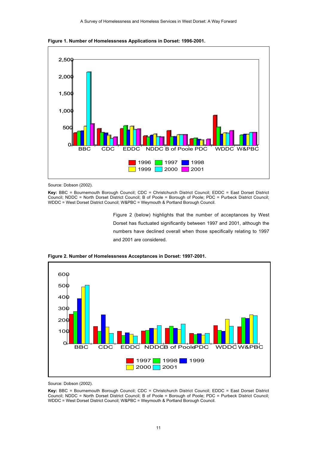



Source: Dobson (2002).

**Key:** BBC = Bournemouth Borough Council; CDC = Christchurch District Council; EDDC = East Dorset District Council; NDDC = North Dorset District Council; B of Poole = Borough of Poole; PDC = Purbeck District Council; WDDC = West Dorset District Council; W&PBC = Weymouth & Portland Borough Council.

> Figure 2 (below) highlights that the number of acceptances by West Dorset has fluctuated significantly between 1997 and 2001, although the numbers have declined overall when those specifically relating to 1997 and 2001 are considered.



**Figure 2. Number of Homelessness Acceptances in Dorset: 1997-2001.**

Source: Dobson (2002).

**Key:** BBC = Bournemouth Borough Council; CDC = Christchurch District Council; EDDC = East Dorset District Council; NDDC = North Dorset District Council; B of Poole = Borough of Poole; PDC = Purbeck District Council; WDDC = West Dorset District Council; W&PBC = Weymouth & Portland Borough Council.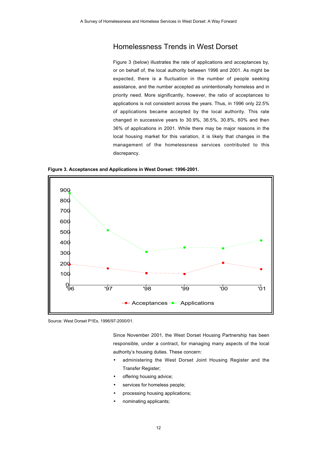## Homelessness Trends in West Dorset

Figure 3 (below) illustrates the rate of applications and acceptances by, or on behalf of, the local authority between 1996 and 2001. As might be expected, there is a fluctuation in the number of people seeking assistance, and the number accepted as unintentionally homeless and in priority need. More significantly, however, the ratio of acceptances to applications is not consistent across the years. Thus, in 1996 only 22.5% of applications became accepted by the local authority. This rate changed in successive years to 30.9%, 36.5%, 30.8%, 60% and then 36% of applications in 2001. While there may be major reasons in the local housing market for this variation, it is likely that changes in the management of the homelessness services contributed to this discrepancy.

**Figure 3. Acceptances and Applications in West Dorset: 1996-2001.**



Source: West Dorset P1Es, 1996/97-2000/01.

Since November 2001, the West Dorset Housing Partnership has been responsible, under a contract, for managing many aspects of the local authority's housing duties. These concern:

- administering the West Dorset Joint Housing Register and the Transfer Register;
- offering housing advice;
- services for homeless people;
- processing housing applications;
- nominating applicants;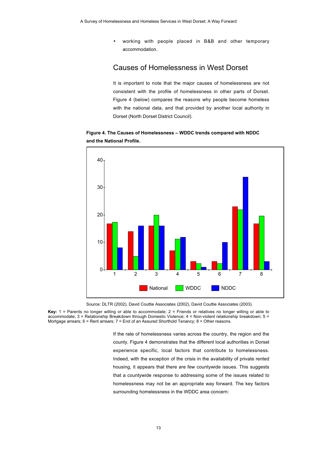• working with people placed in B&B and other temporary accommodation.

### Causes of Homelessness in West Dorset

It is important to note that the major causes of homelessness are not consistent with the profile of homelessness in other parts of Dorset. Figure 4 (below) compares the reasons why people become homeless with the national data, and that provided by another local authority in Dorset (North Dorset District Council).

**Figure 4. The Causes of Homelessness – WDDC trends compared with NDDC and the National Profile.**



Source: DLTR (2002), David Couttie Associates (2002), David Couttie Associates (2003).

**Key:** 1 = Parents no longer willing or able to accommodate; 2 = Friends or relatives no longer willing or able to accommodate; 3 = Relationship Breakdown through Domestic Violence; 4 = Non-violent relationship breakdown; 5 = Mortgage arrears; 6 = Rent arrears; 7 = End of an Assured Shorthold Tenancy; 8 = Other reasons.

> If the rate of homelessness varies across the country, the region and the county, Figure 4 demonstrates that the different local authorities in Dorset experience specific, local factors that contribute to homelessness. Indeed, with the exception of the crisis in the availability of private rented housing, it appears that there are few countywide issues. This suggests that a countywide response to addressing some of the issues related to homelessness may not be an appropriate way forward. The key factors surrounding homelessness in the WDDC area concern: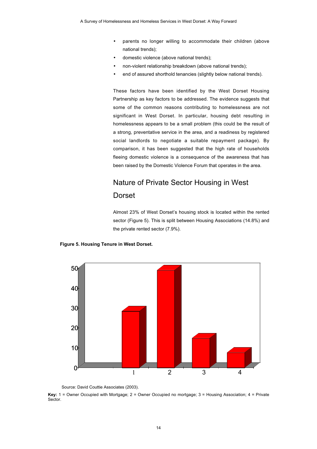- parents no longer willing to accommodate their children (above national trends);
- domestic violence (above national trends);
- non-violent relationship breakdown (above national trends);
- end of assured shorthold tenancies (slightly below national trends).

These factors have been identified by the West Dorset Housing Partnership as key factors to be addressed. The evidence suggests that some of the common reasons contributing to homelessness are not significant in West Dorset. In particular, housing debt resulting in homelessness appears to be a small problem (this could be the result of a strong, preventative service in the area, and a readiness by registered social landlords to negotiate a suitable repayment package). By comparison, it has been suggested that the high rate of households fleeing domestic violence is a consequence of the awareness that has been raised by the Domestic Violence Forum that operates in the area.

# Nature of Private Sector Housing in West Dorset

Almost 23% of West Dorset's housing stock is located within the rented sector (Figure 5). This is split between Housing Associations (14.8%) and the private rented sector (7.9%).

#### **Figure 5. Housing Tenure in West Dorset.**



Source: David Couttie Associates (2003).

**Key:** 1 = Owner Occupied with Mortgage; 2 = Owner Occupied no mortgage; 3 = Housing Association; 4 = Private Sector.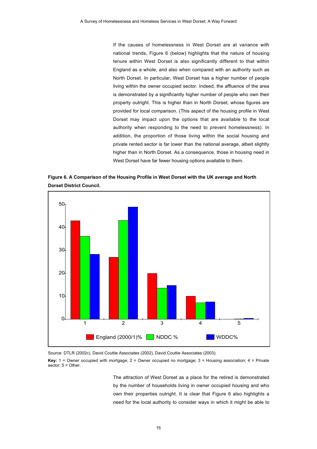If the causes of homelessness in West Dorset are at variance with national trends, Figure 6 (below) highlights that the nature of housing tenure within West Dorset is also significantly different to that within England as a whole, and also when compared with an authority such as North Dorset. In particular, West Dorset has a higher number of people living within the owner occupied sector. Indeed, the affluence of the area is demonstrated by a significantly higher number of people who own their property outright. This is higher than in North Dorset, whose figures are provided for local comparison. (This aspect of the housing profile in West Dorset may impact upon the options that are available to the local authority when responding to the need to prevent homelessness). In addition, the proportion of those living within the social housing and private rented sector is far lower than the national average, albeit slightly higher than in North Dorset. As a consequence, those in housing need in West Dorset have far fewer housing options available to them.

**Figure 6. A Comparison of the Housing Profile in West Dorset with the UK average and North Dorset District Council.**



Source: DTLR (2002c), David Couttie Associates (2002), David Couttie Associates (2003).

**Key:** 1 = Owner occupied with mortgage; 2 = Owner occupied no mortgage; 3 = Housing association; 4 = Private sector:  $5 =$  Other.

> The attraction of West Dorset as a place for the retired is demonstrated by the number of households living in owner occupied housing and who own their properties outright. It is clear that Figure 6 also highlights a need for the local authority to consider ways in which it might be able to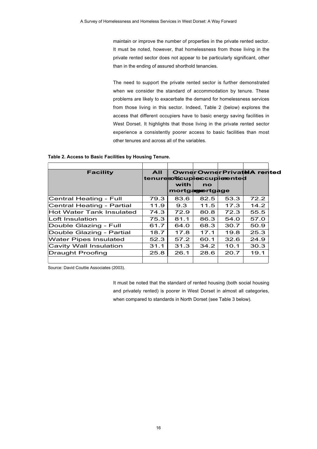maintain or improve the number of properties in the private rented sector. It must be noted, however, that homelessness from those living in the private rented sector does not appear to be particularly significant, other than in the ending of assured shorthold tenancies.

The need to support the private rented sector is further demonstrated when we consider the standard of accommodation by tenure. These problems are likely to exacerbate the demand for homelessness services from those living in this sector. Indeed, Table 2 (below) explores the access that different occupiers have to basic energy saving facilities in West Dorset. It highlights that those living in the private rented sector experience a consistently poorer access to basic facilities than most other tenures and across all of the variables.

#### **Table 2. Access to Basic Facilities by Housing Tenure.**

| <b>Facility</b>           | AII  |      |                | <b>Owner Owner Privatel A rented</b> |      |  |
|---------------------------|------|------|----------------|--------------------------------------|------|--|
|                           |      |      |                | tenuresotcupieccupierented           |      |  |
|                           |      | with | $\mathbf{no}$  |                                      |      |  |
|                           |      |      | mortgamertgage |                                      |      |  |
| Central Heating - Full    | 79.3 | 83.6 | 82.5           | 53.3                                 | 72.2 |  |
| Central Heating - Partial | 11.9 | 9.3  | 11.5           | 17.3                                 | 14.2 |  |
| Hot Water Tank Insulated  | 74.3 | 72.9 | 80.8           | 72.3                                 | 55.5 |  |
| Loft Insulation           | 75.3 | 81.1 | 86.3           | 54.0                                 | 57.0 |  |
| Double Glazing - Full     | 61.7 | 64.0 | 68.3           | 30.7                                 | 50.9 |  |
| Double Glazing - Partial  | 18.7 | 17.8 | 17.1           | 19.8                                 | 25.3 |  |
| Water Pipes Insulated     | 52.3 | 57.2 | 60.1           | 32.6                                 | 24.9 |  |
| Cavity Wall Insulation    | 31.1 | 31.3 | 34.2           | 10.1                                 | 30.3 |  |
| Draught Proofing          | 25.8 | 26.1 | 28.6           | 20.7                                 | 19.1 |  |
|                           |      |      |                |                                      |      |  |

Source: David Couttie Associates (2003).

It must be noted that the standard of rented housing (both social housing and privately rented) is poorer in West Dorset in almost all categories, when compared to standards in North Dorset (see Table 3 below).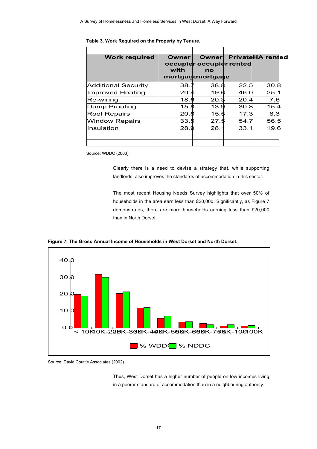| <b>Work required</b>       | <b>Owner</b><br>with | occupier occupier rented<br>no<br>mortgagemortgage |      | Owner PrivateHA rented |
|----------------------------|----------------------|----------------------------------------------------|------|------------------------|
| <b>Additional Security</b> | 38.7                 | 38.8                                               | 22.5 | 30.8                   |
| <b>Improved Heating</b>    | 20.4                 | 19.6                                               | 46.0 | 25.7                   |
| Re-wiring                  | 18.6                 | 20.3                                               | 20.4 | 7.6                    |
| Damp Proofing              | 15.8                 | 13.9                                               | 30.8 | 15.4                   |
| <b>Roof Repairs</b>        | 20.8                 | 15.5                                               | 17.3 | 8.3                    |
| <b>Window Repairs</b>      | 33.5                 | 27.5                                               | 54.7 | 56.5                   |
| Insulation                 | 28.9                 | 28.7                                               | 33.7 | 19.6                   |
|                            |                      |                                                    |      |                        |

### **Table 3. Work Required on the Property by Tenure.**

Source: WDDC (2003).

Clearly there is a need to devise a strategy that, while supporting landlords, also improves the standards of accommodation in this sector.

The most recent Housing Needs Survey highlights that over 50% of households in the area earn less than £20,000. Significantly, as Figure 7 demonstrates, there are more households earning less than £20,000 than in North Dorset.





Source: David Couttie Associates (2002).

Thus, West Dorset has a higher number of people on low incomes living in a poorer standard of accommodation than in a neighbouring authority.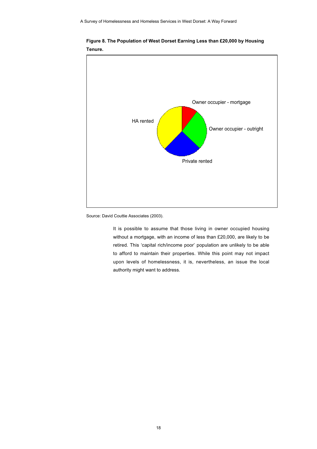

**Figure 8. The Population of West Dorset Earning Less than £20,000 by Housing Tenure.**

Source: David Couttie Associates (2003).

It is possible to assume that those living in owner occupied housing without a mortgage, with an income of less than £20,000, are likely to be retired. This 'capital rich/income poor' population are unlikely to be able to afford to maintain their properties. While this point may not impact upon levels of homelessness, it is, nevertheless, an issue the local authority might want to address.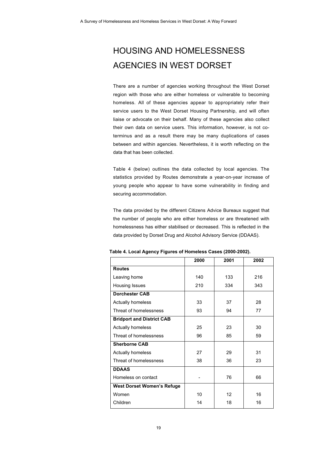# HOUSING AND HOMELESSNESS AGENCIES IN WEST DORSET

There are a number of agencies working throughout the West Dorset region with those who are either homeless or vulnerable to becoming homeless. All of these agencies appear to appropriately refer their service users to the West Dorset Housing Partnership, and will often liaise or advocate on their behalf. Many of these agencies also collect their own data on service users. This information, however, is not coterminus and as a result there may be many duplications of cases between and within agencies. Nevertheless, it is worth reflecting on the data that has been collected.

Table 4 (below) outlines the data collected by local agencies. The statistics provided by Routes demonstrate a year-on-year increase of young people who appear to have some vulnerability in finding and securing accommodation.

The data provided by the different Citizens Advice Bureaux suggest that the number of people who are either homeless or are threatened with homelessness has either stabilised or decreased. This is reflected in the data provided by Dorset Drug and Alcohol Advisory Service (DDAAS).

|                                   | 2000 | 2001 | 2002 |
|-----------------------------------|------|------|------|
| <b>Routes</b>                     |      |      |      |
| Leaving home                      | 140  | 133  | 216  |
| Housing Issues                    | 210  | 334  | 343  |
| <b>Dorchester CAB</b>             |      |      |      |
| <b>Actually homeless</b>          | 33   | 37   | 28   |
| Threat of homelessness            | 93   | 94   | 77   |
| <b>Bridport and District CAB</b>  |      |      |      |
| <b>Actually homeless</b>          | 25   | 23   | 30   |
| Threat of homelessness            | 96   | 85   | 59   |
| <b>Sherborne CAB</b>              |      |      |      |
| <b>Actually homeless</b>          | 27   | 29   | 31   |
| Threat of homelessness            | 38   | 36   | 23   |
| <b>DDAAS</b>                      |      |      |      |
| Homeless on contact               |      | 76   | 66   |
| <b>West Dorset Women's Refuge</b> |      |      |      |
| Women                             | 10   | 12   | 16   |
| Children                          | 14   | 18   | 16   |

 **Table 4. Local Agency Figures of Homeless Cases (2000-2002).**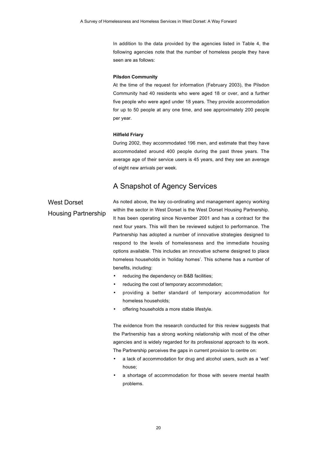In addition to the data provided by the agencies listed in Table 4, the following agencies note that the number of homeless people they have seen are as follows:

### **Pilsdon Community**

At the time of the request for information (February 2003), the Pilsdon Community had 40 residents who were aged 18 or over, and a further five people who were aged under 18 years. They provide accommodation for up to 50 people at any one time, and see approximately 200 people per year.

#### **Hilfield Friary**

During 2002, they accommodated 196 men, and estimate that they have accommodated around 400 people during the past three years. The average age of their service users is 45 years, and they see an average of eight new arrivals per week.

## A Snapshot of Agency Services

## West Dorset Housing Partnership

As noted above, the key co-ordinating and management agency working within the sector in West Dorset is the West Dorset Housing Partnership. It has been operating since November 2001 and has a contract for the next four years. This will then be reviewed subject to performance. The Partnership has adopted a number of innovative strategies designed to respond to the levels of homelessness and the immediate housing options available. This includes an innovative scheme designed to place homeless households in 'holiday homes'. This scheme has a number of benefits, including:

- reducing the dependency on B&B facilities;
- reducing the cost of temporary accommodation;
- providing a better standard of temporary accommodation for homeless households;
- offering households a more stable lifestyle.

The evidence from the research conducted for this review suggests that the Partnership has a strong working relationship with most of the other agencies and is widely regarded for its professional approach to its work. The Partnership perceives the gaps in current provision to centre on:

- a lack of accommodation for drug and alcohol users, such as a 'wet' house;
- a shortage of accommodation for those with severe mental health problems.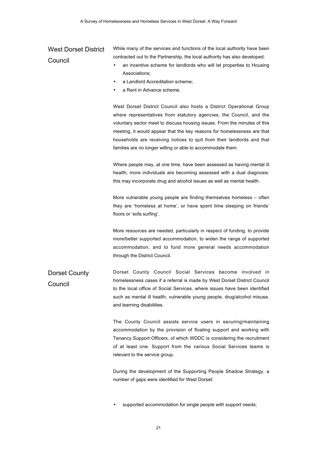## West Dorset District Council

While many of the services and functions of the local authority have been contracted out to the Partnership, the local authority has also developed:

- an incentive scheme for landlords who will let properties to Housing Associations;
- a Landlord Accreditation scheme;
- a Rent in Advance scheme.

West Dorset District Council also hosts a District Operational Group where representatives from statutory agencies, the Council, and the voluntary sector meet to discuss housing issues. From the minutes of this meeting, it would appear that the key reasons for homelessness are that households are receiving notices to quit from their landlords and that families are no longer willing or able to accommodate them.

Where people may, at one time, have been assessed as having mental ill health, more individuals are becoming assessed with a dual diagnosis: this may incorporate drug and alcohol issues as well as mental health.

More vulnerable young people are finding themselves homeless – often they are 'homeless at home', or have spent time sleeping on friends' floors or 'sofa surfing'.

More resources are needed, particularly in respect of funding, to provide more/better supported accommodation, to widen the range of supported accommodation, and to fund more general needs accommodation through the District Council.

Dorset County Council Dorset County Council Social Services become involved in homelessness cases if a referral is made by West Dorset District Council to the local office of Social Services, where issues have been identified such as mental ill health, vulnerable young people, drug/alcohol misuse, and learning disabilities.

> The County Council assists service users in securing/maintaining accommodation by the provision of floating support and working with Tenancy Support Officers, of which WDDC is considering the recruitment of at least one. Support from the various Social Services teams is relevant to the service group.

> During the development of the Supporting People Shadow Strategy, a number of gaps were identified for West Dorset:

supported accommodation for single people with support needs;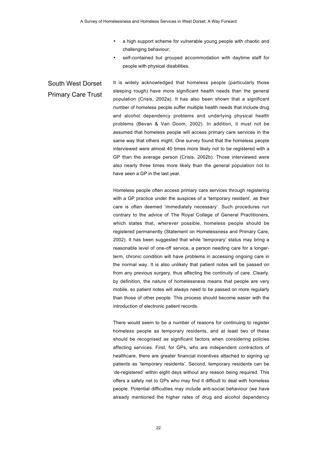- a high support scheme for vulnerable young people with chaotic and challenging behaviour;
- self-contained but grouped accommodation with daytime staff for people with physical disabilities.

South West Dorset Primary Care Trust It is widely acknowledged that homeless people (particularly those sleeping rough) have more significant health needs than the general population (Crisis, 2002a). It has also been shown that a significant number of homeless people suffer multiple health needs that include drug and alcohol dependency problems and underlying physical health problems (Bevan & Van Doom, 2002). In addition, it must not be assumed that homeless people will access primary care services in the same way that others might. One survey found that the homeless people interviewed were almost 40 times more likely not to be registered with a GP than the average person (Crisis, 2002b). Those interviewed were also nearly three times more likely than the general population not to have seen a GP in the last year.

> Homeless people often access primary care services through registering with a GP practice under the auspices of a 'temporary resident', as their care is often deemed 'immediately necessary'. Such procedures run contrary to the advice of The Royal College of General Practitioners, which states that, wherever possible, homeless people should be registered permanently (Statement on Homelessness and Primary Care, 2002). It has been suggested that while 'temporary' status may bring a reasonable level of one-off service, a person needing care for a longerterm, chronic condition will have problems in accessing ongoing care in the normal way. It is also unlikely that patient notes will be passed on from any previous surgery, thus affecting the continuity of care. Clearly, by definition, the nature of homelessness means that people are very mobile, so patient notes will always need to be passed on more regularly than those of other people. This process should become easier with the introduction of electronic patient records.

> There would seem to be a number of reasons for continuing to register homeless people as temporary residents, and at least two of these should be recognised as significant factors when considering policies affecting services. First, for GPs, who are independent contractors of healthcare, there are greater financial incentives attached to signing up patients as 'temporary residents'. Second, temporary residents can be 'de-registered' within eight days without any reason being required. This offers a safety net to GPs who may find it difficult to deal with homeless people. Potential difficulties may include anti-social behaviour (we have already mentioned the higher rates of drug and alcohol dependency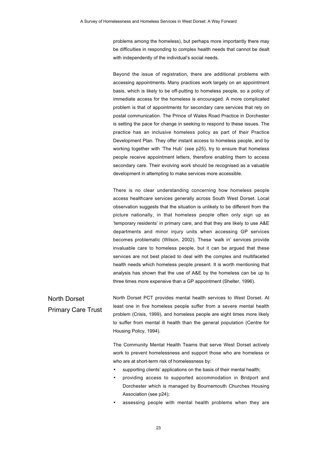problems among the homeless), but perhaps more importantly there may be difficulties in responding to complex health needs that cannot be dealt with independently of the individual's social needs.

Beyond the issue of registration, there are additional problems with accessing appointments. Many practices work largely on an appointment basis, which is likely to be off-putting to homeless people, so a policy of immediate access for the homeless is encouraged. A more complicated problem is that of appointments for secondary care services that rely on postal communication. The Prince of Wales Road Practice in Dorchester is setting the pace for change in seeking to respond to these issues. The practice has an inclusive homeless policy as part of their Practice Development Plan. They offer instant access to homeless people, and by working together with 'The Hub' (see p25), try to ensure that homeless people receive appointment letters, therefore enabling them to access secondary care. Their evolving work should be recognised as a valuable development in attempting to make services more accessible.

There is no clear understanding concerning how homeless people access healthcare services generally across South West Dorset. Local observation suggests that the situation is unlikely to be different from the picture nationally, in that homeless people often only sign up as 'temporary residents' in primary care, and that they are likely to use A&E departments and minor injury units when accessing GP services becomes problematic (Wilson, 2002). These 'walk in' services provide invaluable care to homeless people, but it can be argued that these services are not best placed to deal with the complex and multifaceted health needs which homeless people present. It is worth mentioning that analysis has shown that the use of A&E by the homeless can be up to three times more expensive than a GP appointment (Shelter, 1996).

North Dorset Primary Care Trust North Dorset PCT provides mental health services to West Dorset. At least one in five homeless people suffer from a severe mental health problem (Crisis, 1999), and homeless people are eight times more likely to suffer from mental ill health than the general population (Centre for Housing Policy, 1994).

> The Community Mental Health Teams that serve West Dorset actively work to prevent homelessness and support those who are homeless or who are at short-term risk of homelessness by:

- supporting clients' applications on the basis of their mental health;
- providing access to supported accommodation in Bridport and Dorchester which is managed by Bournemouth Churches Housing Association (see p24);
- assessing people with mental health problems when they are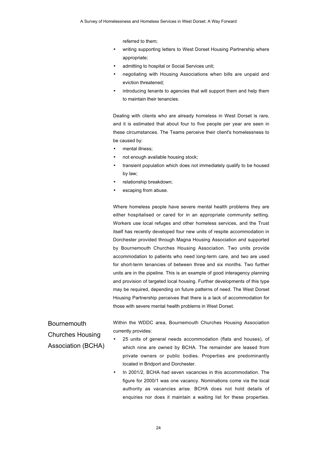referred to them;

- writing supporting letters to West Dorset Housing Partnership where appropriate;
- admitting to hospital or Social Services unit:
- negotiating with Housing Associations when bills are unpaid and eviction threatened;
- introducing tenants to agencies that will support them and help them to maintain their tenancies.

Dealing with clients who are already homeless in West Dorset is rare, and it is estimated that about four to five people per year are seen in these circumstances. The Teams perceive their client's homelessness to be caused by:

- mental illness;
- not enough available housing stock;
- transient population which does not immediately qualify to be housed by law;
- relationship breakdown;
- escaping from abuse.

Where homeless people have severe mental health problems they are either hospitalised or cared for in an appropriate community setting. Workers use local refuges and other homeless services, and the Trust itself has recently developed four new units of respite accommodation in Dorchester provided through Magna Housing Association and supported by Bournemouth Churches Housing Association. Two units provide accommodation to patients who need long-term care, and two are used for short-term tenancies of between three and six months. Two further units are in the pipeline. This is an example of good interagency planning and provision of targeted local housing. Further developments of this type may be required, depending on future patterns of need. The West Dorset Housing Partnership perceives that there is a lack of accommodation for those with severe mental health problems in West Dorset.

Bournemouth Churches Housing Association (BCHA) Within the WDDC area, Bournemouth Churches Housing Association currently provides:

- 25 units of general needs accommodation (flats and houses), of which nine are owned by BCHA. The remainder are leased from private owners or public bodies. Properties are predominantly located in Bridport and Dorchester.
- In 2001/2, BCHA had seven vacancies in this accommodation. The figure for 2000/1 was one vacancy. Nominations come via the local authority as vacancies arise. BCHA does not hold details of enquiries nor does it maintain a waiting list for these properties.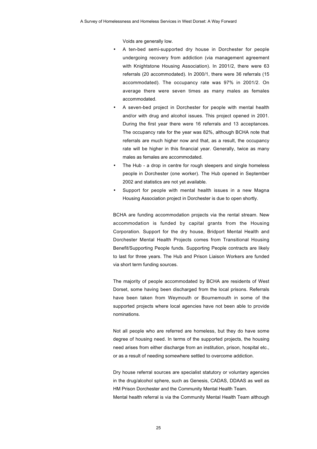Voids are generally low.

- A ten-bed semi-supported dry house in Dorchester for people undergoing recovery from addiction (via management agreement with Knightstone Housing Association). In 2001/2, there were 63 referrals (20 accommodated). In 2000/1, there were 36 referrals (15 accommodated). The occupancy rate was 97% in 2001/2. On average there were seven times as many males as females accommodated.
- A seven-bed project in Dorchester for people with mental health and/or with drug and alcohol issues. This project opened in 2001. During the first year there were 16 referrals and 13 acceptances. The occupancy rate for the year was 82%, although BCHA note that referrals are much higher now and that, as a result, the occupancy rate will be higher in this financial year. Generally, twice as many males as females are accommodated.
- The Hub a drop in centre for rough sleepers and single homeless people in Dorchester (one worker). The Hub opened in September 2002 and statistics are not yet available.
- Support for people with mental health issues in a new Magna Housing Association project in Dorchester is due to open shortly.

BCHA are funding accommodation projects via the rental stream. New accommodation is funded by capital grants from the Housing Corporation. Support for the dry house, Bridport Mental Health and Dorchester Mental Health Projects comes from Transitional Housing Benefit/Supporting People funds. Supporting People contracts are likely to last for three years. The Hub and Prison Liaison Workers are funded via short term funding sources.

The majority of people accommodated by BCHA are residents of West Dorset, some having been discharged from the local prisons. Referrals have been taken from Weymouth or Bournemouth in some of the supported projects where local agencies have not been able to provide nominations.

Not all people who are referred are homeless, but they do have some degree of housing need. In terms of the supported projects, the housing need arises from either discharge from an institution, prison, hospital etc., or as a result of needing somewhere settled to overcome addiction.

Dry house referral sources are specialist statutory or voluntary agencies in the drug/alcohol sphere, such as Genesis, CADAS, DDAAS as well as HM Prison Dorchester and the Community Mental Health Team. Mental health referral is via the Community Mental Health Team although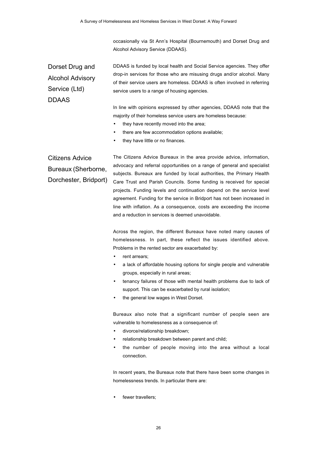occasionally via St Ann's Hospital (Bournemouth) and Dorset Drug and Alcohol Advisory Service (DDAAS).

Dorset Drug and Alcohol Advisory Service (Ltd) DDAAS

DDAAS is funded by local health and Social Service agencies. They offer drop-in services for those who are misusing drugs and/or alcohol. Many of their service users are homeless. DDAAS is often involved in referring service users to a range of housing agencies.

In line with opinions expressed by other agencies, DDAAS note that the majority of their homeless service users are homeless because:

- they have recently moved into the area;
- there are few accommodation options available;
- they have little or no finances.

Citizens Advice Bureaux (Sherborne, Dorchester, Bridport)

The Citizens Advice Bureaux in the area provide advice, information, advocacy and referral opportunities on a range of general and specialist subjects. Bureaux are funded by local authorities, the Primary Health Care Trust and Parish Councils. Some funding is received for special projects. Funding levels and continuation depend on the service level agreement. Funding for the service in Bridport has not been increased in line with inflation. As a consequence, costs are exceeding the income and a reduction in services is deemed unavoidable.

Across the region, the different Bureaux have noted many causes of homelessness. In part, these reflect the issues identified above. Problems in the rented sector are exacerbated by:

- rent arrears:
- a lack of affordable housing options for single people and vulnerable groups, especially in rural areas;
- tenancy failures of those with mental health problems due to lack of support. This can be exacerbated by rural isolation;
- the general low wages in West Dorset.

Bureaux also note that a significant number of people seen are vulnerable to homelessness as a consequence of:

- divorce/relationship breakdown;
- relationship breakdown between parent and child;
- the number of people moving into the area without a local connection.

In recent years, the Bureaux note that there have been some changes in homelessness trends. In particular there are:

fewer travellers;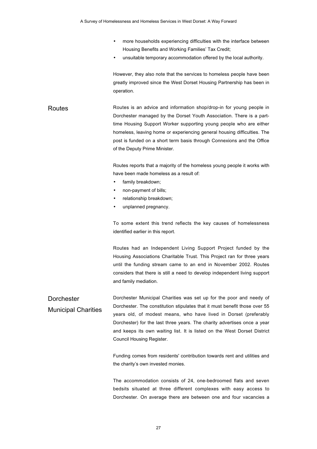- more households experiencing difficulties with the interface between Housing Benefits and Working Families' Tax Credit;
- unsuitable temporary accommodation offered by the local authority.

However, they also note that the services to homeless people have been greatly improved since the West Dorset Housing Partnership has been in operation.

Routes **Routes Is an advice and information shop/drop-in for young people in** Dorchester managed by the Dorset Youth Association. There is a parttime Housing Support Worker supporting young people who are either homeless, leaving home or experiencing general housing difficulties. The post is funded on a short term basis through Connexions and the Office of the Deputy Prime Minister.

> Routes reports that a majority of the homeless young people it works with have been made homeless as a result of:

- family breakdown;
- non-payment of bills;
- relationship breakdown;
- unplanned pregnancy.

To some extent this trend reflects the key causes of homelessness identified earlier in this report.

Routes had an Independent Living Support Project funded by the Housing Associations Charitable Trust. This Project ran for three years until the funding stream came to an end in November 2002. Routes considers that there is still a need to develop independent living support and family mediation.

**Dorchester** Municipal Charities Dorchester Municipal Charities was set up for the poor and needy of Dorchester. The constitution stipulates that it must benefit those over 55 years old, of modest means, who have lived in Dorset (preferably Dorchester) for the last three years. The charity advertises once a year and keeps its own waiting list. It is listed on the West Dorset District Council Housing Register.

> Funding comes from residents' contribution towards rent and utilities and the charity's own invested monies.

> The accommodation consists of 24, one-bedroomed flats and seven bedsits situated at three different complexes with easy access to Dorchester. On average there are between one and four vacancies a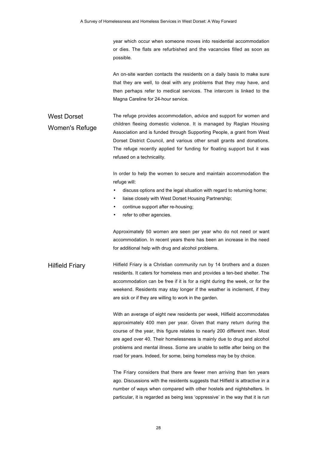year which occur when someone moves into residential accommodation or dies. The flats are refurbished and the vacancies filled as soon as possible.

An on-site warden contacts the residents on a daily basis to make sure that they are well, to deal with any problems that they may have, and then perhaps refer to medical services. The intercom is linked to the Magna Careline for 24-hour service.

### West Dorset Women's Refuge The refuge provides accommodation, advice and support for women and children fleeing domestic violence. It is managed by Raglan Housing Association and is funded through Supporting People, a grant from West Dorset District Council, and various other small grants and donations. The refuge recently applied for funding for floating support but it was refused on a technicality.

In order to help the women to secure and maintain accommodation the refuge will:

- discuss options and the legal situation with regard to returning home;
- liaise closely with West Dorset Housing Partnership;
- continue support after re-housing;
- refer to other agencies.

Approximately 50 women are seen per year who do not need or want accommodation. In recent years there has been an increase in the need for additional help with drug and alcohol problems.

Hilfield Friary **Hilfield Friary is a Christian community run by 14 brothers and a dozen** residents. It caters for homeless men and provides a ten-bed shelter. The accommodation can be free if it is for a night during the week, or for the weekend. Residents may stay longer if the weather is inclement, if they are sick or if they are willing to work in the garden.

> With an average of eight new residents per week, Hilfield accommodates approximately 400 men per year. Given that many return during the course of the year, this figure relates to nearly 200 different men. Most are aged over 40. Their homelessness is mainly due to drug and alcohol problems and mental illness. Some are unable to settle after being on the road for years. Indeed, for some, being homeless may be by choice.

> The Friary considers that there are fewer men arriving than ten years ago. Discussions with the residents suggests that Hilfield is attractive in a number of ways when compared with other hostels and nightshelters. In particular, it is regarded as being less 'oppressive' in the way that it is run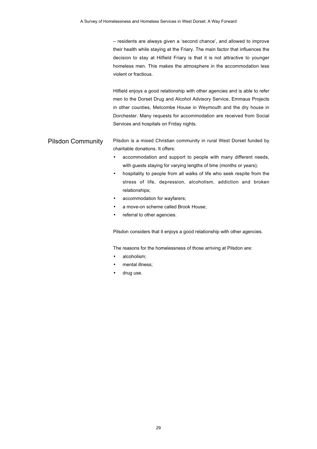– residents are always given a 'second chance', and allowed to improve their health while staying at the Friary. The main factor that influences the decision to stay at Hilfield Friary is that it is not attractive to younger homeless men. This makes the atmosphere in the accommodation less violent or fractious.

Hilfield enjoys a good relationship with other agencies and is able to refer men to the Dorset Drug and Alcohol Advisory Service, Emmaus Projects in other counties, Melcombe House in Weymouth and the dry house in Dorchester. Many requests for accommodation are received from Social Services and hospitals on Friday nights.

### Pilsdon Community Pilsdon is a mixed Christian community in rural West Dorset funded by charitable donations. It offers:

- accommodation and support to people with many different needs, with guests staying for varying lengths of time (months or years);
- hospitality to people from all walks of life who seek respite from the stress of life, depression, alcoholism, addiction and broken relationships;
- accommodation for wayfarers;
- a move-on scheme called Brook House;
- referral to other agencies.

Pilsdon considers that it enjoys a good relationship with other agencies.

The reasons for the homelessness of those arriving at Pilsdon are:

- alcoholism:
- mental illness;
- drug use.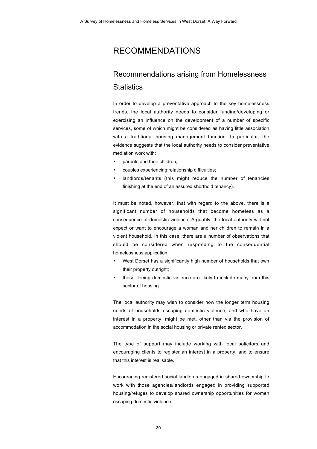# RECOMMENDATIONS

# Recommendations arising from Homelessness **Statistics**

In order to develop a preventative approach to the key homelessness trends, the local authority needs to consider funding/developing or exercising an influence on the development of a number of specific services, some of which might be considered as having little association with a traditional housing management function. In particular, the evidence suggests that the local authority needs to consider preventative mediation work with:

- parents and their children;
- couples experiencing relationship difficulties;
- landlords/tenants (this might reduce the number of tenancies finishing at the end of an assured shorthold tenancy).

It must be noted, however, that with regard to the above, there is a significant number of households that become homeless as a consequence of domestic violence. Arguably, the local authority will not expect or want to encourage a woman and her children to remain in a violent household. In this case, there are a number of observations that should be considered when responding to the consequential homelessness application:

- West Dorset has a significantly high number of households that own their property outright;
- those fleeing domestic violence are likely to include many from this sector of housing.

The local authority may wish to consider how the longer term housing needs of households escaping domestic violence, and who have an interest in a property, might be met, other than via the provision of accommodation in the social housing or private rented sector.

The type of support may include working with local solicitors and encouraging clients to register an interest in a property, and to ensure that this interest is realisable.

Encouraging registered social landlords engaged in shared ownership to work with those agencies/landlords engaged in providing supported housing/refuges to develop shared ownership opportunities for women escaping domestic violence.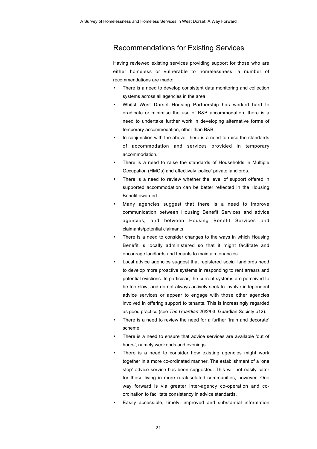## Recommendations for Existing Services

Having reviewed existing services providing support for those who are either homeless or vulnerable to homelessness, a number of recommendations are made:

- There is a need to develop consistent data monitoring and collection systems across all agencies in the area.
- Whilst West Dorset Housing Partnership has worked hard to eradicate or minimise the use of B&B accommodation, there is a need to undertake further work in developing alternative forms of temporary accommodation, other than B&B.
- In conjunction with the above, there is a need to raise the standards of accommodation and services provided in temporary accommodation.
- There is a need to raise the standards of Households in Multiple Occupation (HMOs) and effectively 'police' private landlords.
- There is a need to review whether the level of support offered in supported accommodation can be better reflected in the Housing Benefit awarded.
- Many agencies suggest that there is a need to improve communication between Housing Benefit Services and advice agencies, and between Housing Benefit Services and claimants/potential claimants.
- There is a need to consider changes to the ways in which Housing Benefit is locally administered so that it might facilitate and encourage landlords and tenants to maintain tenancies.
- Local advice agencies suggest that registered social landlords need to develop more proactive systems in responding to rent arrears and potential evictions. In particular, the current systems are perceived to be too slow, and do not always actively seek to involve independent advice services or appear to engage with those other agencies involved in offering support to tenants. This is increasingly regarded as good practice (see *The Guardian* 26/2/03, Guardian Society p12).
- There is a need to review the need for a further 'train and decorate' scheme.
- There is a need to ensure that advice services are available 'out of hours', namely weekends and evenings.
- There is a need to consider how existing agencies might work together in a more co-ordinated manner. The establishment of a 'one stop' advice service has been suggested. This will not easily cater for those living in more rural/isolated communities, however. One way forward is via greater inter-agency co-operation and coordination to facilitate consistency in advice standards.
- Easily accessible, timely, improved and substantial information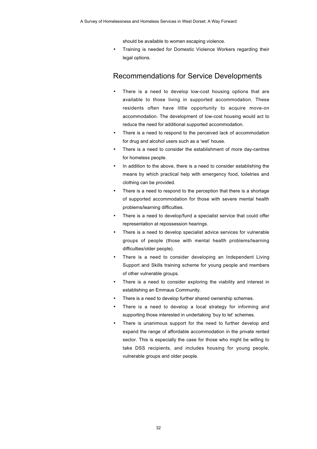should be available to women escaping violence.

• Training is needed for Domestic Violence Workers regarding their legal options.

### Recommendations for Service Developments

- There is a need to develop low-cost housing options that are available to those living in supported accommodation. These residents often have little opportunity to acquire move-on accommodation. The development of low-cost housing would act to reduce the need for additional supported accommodation.
- There is a need to respond to the perceived lack of accommodation for drug and alcohol users such as a 'wet' house.
- There is a need to consider the establishment of more day-centres for homeless people.
- In addition to the above, there is a need to consider establishing the means by which practical help with emergency food, toiletries and clothing can be provided.
- There is a need to respond to the perception that there is a shortage of supported accommodation for those with severe mental health problems/learning difficulties.
- There is a need to develop/fund a specialist service that could offer representation at repossession hearings.
- There is a need to develop specialist advice services for vulnerable groups of people (those with mental health problems/learning difficulties/older people).
- There is a need to consider developing an Independent Living Support and Skills training scheme for young people and members of other vulnerable groups.
- There is a need to consider exploring the viability and interest in establishing an Emmaus Community.
- There is a need to develop further shared ownership schemes.
- There is a need to develop a local strategy for informing and supporting those interested in undertaking 'buy to let' schemes.
- There is unanimous support for the need to further develop and expand the range of affordable accommodation in the private rented sector. This is especially the case for those who might be willing to take DSS recipients, and includes housing for young people, vulnerable groups and older people.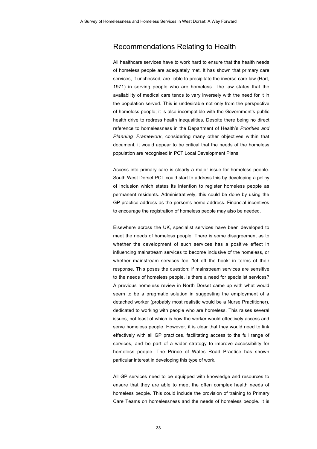### Recommendations Relating to Health

All healthcare services have to work hard to ensure that the health needs of homeless people are adequately met. It has shown that primary care services, if unchecked, are liable to precipitate the inverse care law (Hart, 1971) in serving people who are homeless. The law states that the availability of medical care tends to vary inversely with the need for it in the population served. This is undesirable not only from the perspective of homeless people; it is also incompatible with the Government's public health drive to redress health inequalities. Despite there being no direct reference to homelessness in the Department of Health's *Priorities and Planning Framework*, considering many other objectives within that document, it would appear to be critical that the needs of the homeless population are recognised in PCT Local Development Plans.

Access into primary care is clearly a major issue for homeless people. South West Dorset PCT could start to address this by developing a policy of inclusion which states its intention to register homeless people as permanent residents. Administratively, this could be done by using the GP practice address as the person's home address. Financial incentives to encourage the registration of homeless people may also be needed.

Elsewhere across the UK, specialist services have been developed to meet the needs of homeless people. There is some disagreement as to whether the development of such services has a positive effect in influencing mainstream services to become inclusive of the homeless, or whether mainstream services feel 'let off the hook' in terms of their response. This poses the question: if mainstream services are sensitive to the needs of homeless people, is there a need for specialist services? A previous homeless review in North Dorset came up with what would seem to be a pragmatic solution in suggesting the employment of a detached worker (probably most realistic would be a Nurse Practitioner), dedicated to working with people who are homeless. This raises several issues, not least of which is how the worker would effectively access and serve homeless people. However, it is clear that they would need to link effectively with all GP practices, facilitating access to the full range of services, and be part of a wider strategy to improve accessibility for homeless people. The Prince of Wales Road Practice has shown particular interest in developing this type of work.

All GP services need to be equipped with knowledge and resources to ensure that they are able to meet the often complex health needs of homeless people. This could include the provision of training to Primary Care Teams on homelessness and the needs of homeless people. It is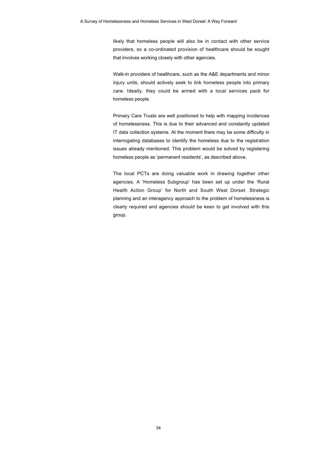likely that homeless people will also be in contact with other service providers, so a co-ordinated provision of healthcare should be sought that involves working closely with other agencies.

Walk-in providers of healthcare, such as the A&E departments and minor injury units, should actively seek to link homeless people into primary care. Ideally, they could be armed with a local services pack for homeless people.

Primary Care Trusts are well positioned to help with mapping incidences of homelessness. This is due to their advanced and constantly updated IT data collection systems. At the moment there may be some difficulty in interrogating databases to identify the homeless due to the registration issues already mentioned. This problem would be solved by registering homeless people as 'permanent residents', as described above.

The local PCTs are doing valuable work in drawing together other agencies. A 'Homeless Subgroup' has been set up under the 'Rural Health Action Group' for North and South West Dorset. Strategic planning and an interagency approach to the problem of homelessness is clearly required and agencies should be keen to get involved with this group.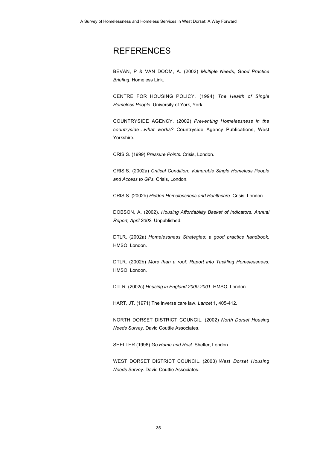## **REFERENCES**

BEVAN, P & VAN DOOM, A. (2002) *Multiple Needs, Good Practice Briefing*. Homeless Link.

CENTRE FOR HOUSING POLICY. (1994) *The Health of Single Homeless People*. University of York, York.

COUNTRYSIDE AGENCY. (2002) *Preventing Homelessness in the countryside…what works?* Countryside Agency Publications, West Yorkshire.

CRISIS. (1999) *Pressure Points.* Crisis, London.

CRISIS. (2002a) *Critical Condition: Vulnerable Single Homeless People and Access to GPs.* Crisis, London.

CRISIS. (2002b) *Hidden Homelessness and Healthcare*. Crisis, London.

DOBSON, A. (2002). *Housing Affordability Basket of Indicators. Annual Report, April 2002.* Unpublished.

DTLR. (2002a) *Homelessness Strategies: a good practice handbook.* HMSO, London.

DTLR. (2002b) *More than a roof. Report into Tackling Homelessness.* HMSO, London*.*

DTLR. (2002c) *Housing in England 2000-2001*. HMSO, London*.*

HART, JT. (1971) The inverse care law. *Lancet* **1,** 405-412.

NORTH DORSET DISTRICT COUNCIL. (2002) *North Dorset Housing Needs Survey.* David Couttie Associates.

SHELTER (1996) *Go Home and Rest*. Shelter, London.

WEST DORSET DISTRICT COUNCIL. (2003) *West Dorset Housing Needs Survey.* David Couttie Associates.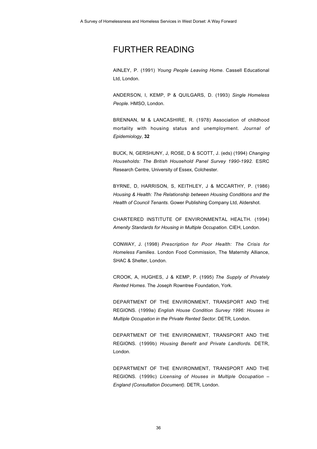## FURTHER READING

AINLEY, P. (1991) *Young People Leaving Home*. Cassell Educational Ltd, London.

ANDERSON, I, KEMP, P & QUILGARS, D. (1993) *Single Homeless People*. HMSO, London.

BRENNAN, M & LANCASHIRE, R. (1978) Association of childhood mortality with housing status and unemployment. *Journal of Epidemiology*, **32**

BUCK, N, GERSHUNY, J, ROSE, D & SCOTT, J. (eds) (1994) *Changing Households: The British Household Panel Survey 1990-1992.* ESRC Research Centre, University of Essex, Colchester.

BYRNE, D, HARRISON, S, KEITHLEY, J & MCCARTHY, P. (1986) *Housing & Health: The Relationship between Housing Conditions and the Health of Council Tenants.* Gower Publishing Company Ltd, Aldershot.

CHARTERED INSTITUTE OF ENVIRONMENTAL HEALTH. (1994) *Amenity Standards for Housing in Multiple Occupation*. CIEH, London.

CONWAY, J. (1998) *Prescription for Poor Health: The Crisis for Homeless Families*. London Food Commission, The Maternity Alliance, SHAC & Shelter, London.

CROOK, A, HUGHES, J & KEMP, P. (1995) *The Supply of Privately Rented Homes*. The Joseph Rowntree Foundation, York.

DEPARTMENT OF THE ENVIRONMENT, TRANSPORT AND THE REGIONS. (1999a) *English House Condition Survey 1996: Houses in Multiple Occupation in the Private Rented Sector*. DETR, London.

DEPARTMENT OF THE ENVIRONMENT, TRANSPORT AND THE REGIONS. (1999b) *Housing Benefit and Private Landlords.* DETR, London.

DEPARTMENT OF THE ENVIRONMENT, TRANSPORT AND THE REGIONS. (1999c) *Licensing of Houses in Multiple Occupation – England (Consultation Document).* DETR, London.